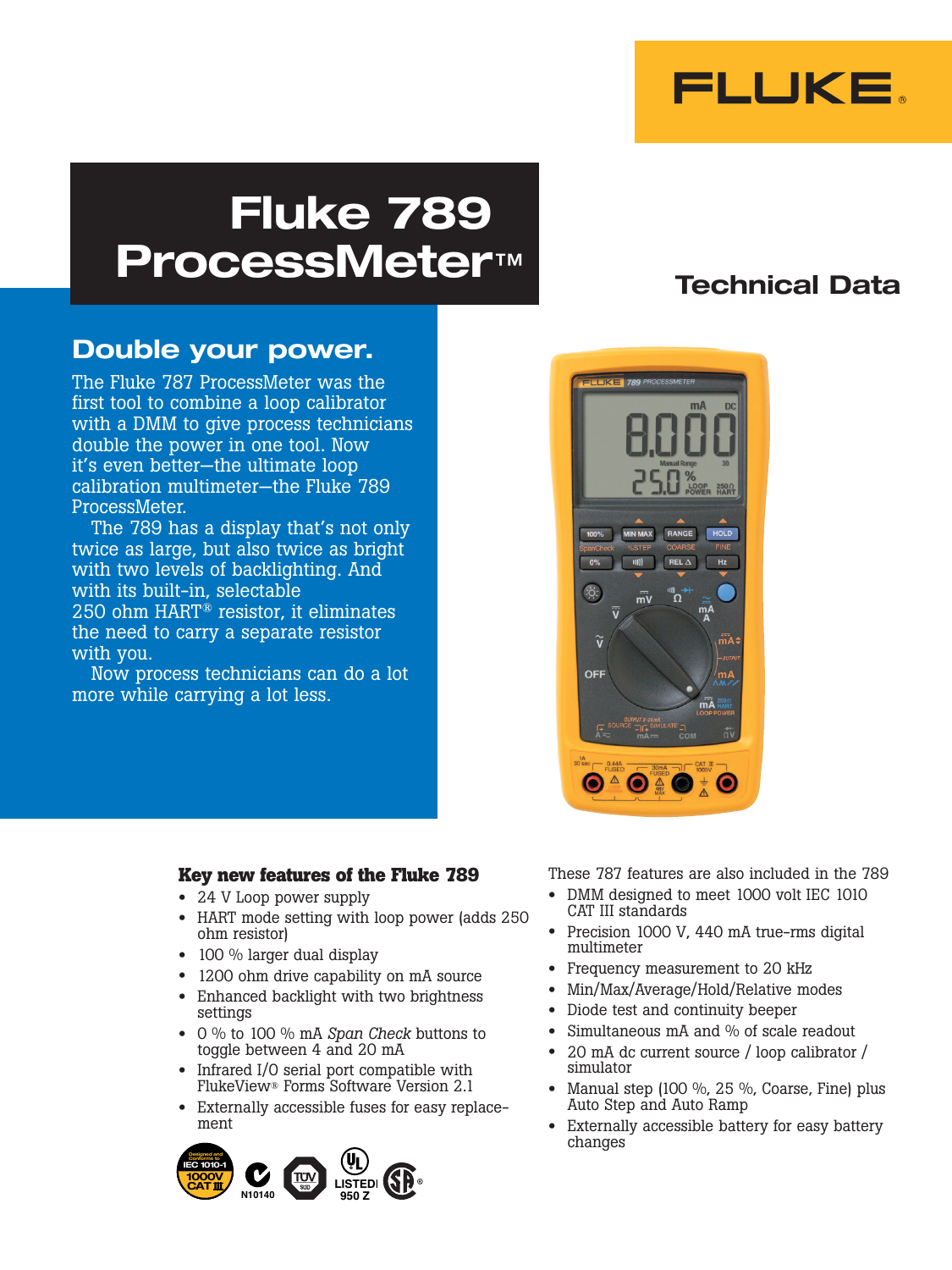

# Fluke 789 ProcessMeter™

# Technical Data

## Double your power.

The Fluke 787 ProcessMeter was the first tool to combine a loop calibrator with a DMM to give process technicians double the power in one tool. Now it's even better—the ultimate loop calibration multimeter—the Fluke 789 ProcessMeter.

The 789 has a display that's not only twice as large, but also twice as bright with two levels of backlighting. And with its built-in, selectable 250 ohm HART® resistor, it eliminates the need to carry a separate resistor with you.

Now process technicians can do a lot more while carrying a lot less.



### **Key new features of the Fluke 789**

- 24 V Loop power supply
- HART mode setting with loop power (adds 250 ohm resistor)
- 100 % larger dual display
- 1200 ohm drive capability on mA source
- Enhanced backlight with two brightness settings
- 0 % to 100 % mA *Span Check* buttons to toggle between 4 and 20 mA
- Infrared I/O serial port compatible with FlukeView® Forms Software Version 2.1
- Externally accessible fuses for easy replacement



These 787 features are also included in the 789

- DMM designed to meet 1000 volt IEC 1010 CAT III standards
- Precision 1000 V, 440 mA true-rms digital multimeter
- Frequency measurement to 20 kHz
- Min/Max/Average/Hold/Relative modes
- Diode test and continuity beeper
- Simultaneous mA and % of scale readout
- 20 mA dc current source / loop calibrator / simulator
- Manual step (100 %, 25 %, Coarse, Fine) plus Auto Step and Auto Ramp
- Externally accessible battery for easy battery changes